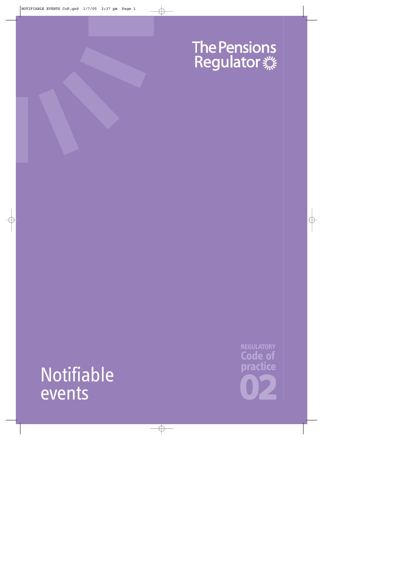# The Pensions<br>Regulator

## Notifiable events

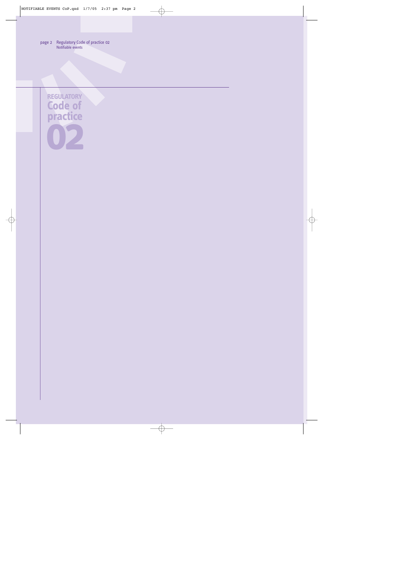**REGULATORY Code of practice 02**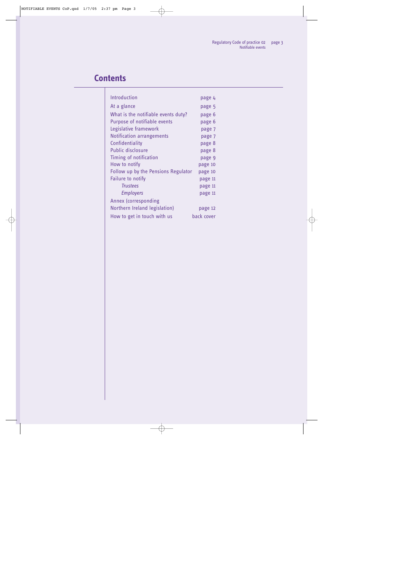## **Contents**

| Introduction                        |            |
|-------------------------------------|------------|
|                                     | page 4     |
| At a glance                         | page 5     |
| What is the notifiable events duty? | page 6     |
| Purpose of notifiable events        | page 6     |
| Legislative framework               | page 7     |
| <b>Notification arrangements</b>    | page 7     |
| Confidentiality                     | page 8     |
| <b>Public disclosure</b>            | page 8     |
| Timing of notification              | page 9     |
| How to notify                       | page 10    |
| Follow up by the Pensions Regulator | page 10    |
| Failure to notify                   | page 11    |
| <b>Trustees</b>                     | page 11    |
| <b>Employers</b>                    | page 11    |
| Annex (corresponding                |            |
| Northern Ireland legislation)       | page 12    |
| How to get in touch with us         | back cover |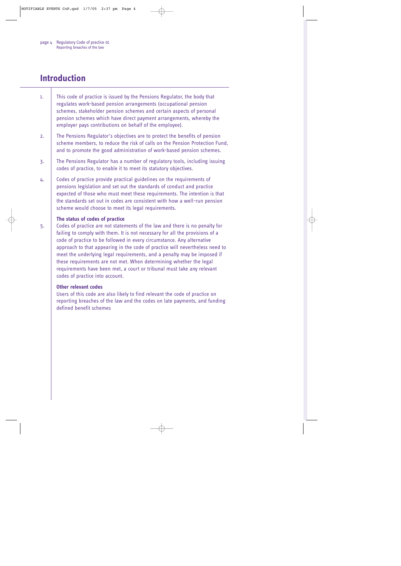## <span id="page-3-0"></span>**Introduction**

- 1. This code of practice is issued by the Pensions Regulator, the body that regulates work-based pension arrangements (occupational pension schemes, stakeholder pension schemes and certain aspects of personal pension schemes which have direct payment arrangements, whereby the employer pays contributions on behalf of the employee).
- 2. The Pensions Regulator's objectives are to protect the benefits of pension scheme members, to reduce the risk of calls on the Pension Protection Fund, and to promote the good administration of work-based pension schemes.
- 3. The Pensions Regulator has a number of regulatory tools, including issuing codes of practice, to enable it to meet its statutory objectives.
- 4. Codes of practice provide practical guidelines on the requirements of pensions legislation and set out the standards of conduct and practice expected of those who must meet these requirements. The intention is that the standards set out in codes are consistent with how a well-run pension scheme would choose to meet its legal requirements.

#### **The status of codes of practice**

5. Codes of practice are not statements of the law and there is no penalty for failing to comply with them. It is not necessary for all the provisions of a code of practice to be followed in every circumstance. Any alternative approach to that appearing in the code of practice will nevertheless need to meet the underlying legal requirements, and a penalty may be imposed if these requirements are not met. When determining whether the legal requirements have been met, a court or tribunal must take any relevant codes of practice into account.

#### **Other relevant codes**

Users of this code are also likely to find relevant the code of practice on reporting breaches of the law and the codes on late payments, and funding defined benefit schemes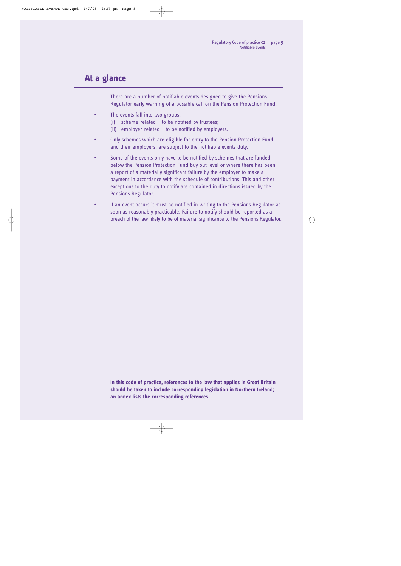### <span id="page-4-0"></span>**At a glance**

There are a number of notifiable events designed to give the Pensions Regulator early warning of a possible call on the Pension Protection Fund.

- The events fall into two groups:
	- (i) scheme-related to be notified by trustees;
	- (ii) employer-related to be notified by employers.
- Only schemes which are eligible for entry to the Pension Protection Fund, and their employers, are subject to the notifiable events duty.
- Some of the events only have to be notified by schemes that are funded below the Pension Protection Fund buy out level or where there has been a report of a materially significant failure by the employer to make a payment in accordance with the schedule of contributions. This and other exceptions to the duty to notify are contained in directions issued by the Pensions Regulator.
- If an event occurs it must be notified in writing to the Pensions Regulator as soon as reasonably practicable. Failure to notify should be reported as a breach of the law likely to be of material significance to the Pensions Regulator.

**In this code of practice, references to the law that applies in Great Britain should be taken to include corresponding legislation in Northern Ireland; an annex lists the corresponding references.**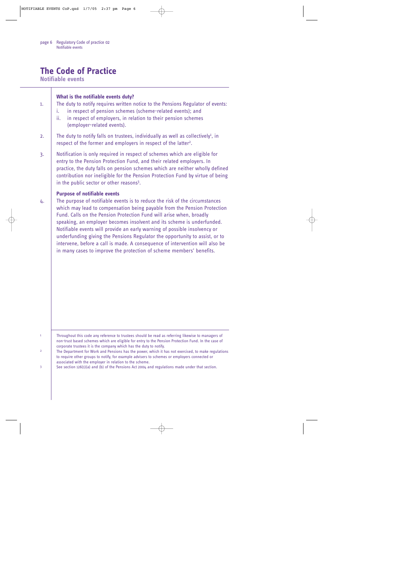## **The Code of Practice**

**Notifiable events** 

<span id="page-5-7"></span><span id="page-5-6"></span><span id="page-5-5"></span><span id="page-5-4"></span><span id="page-5-3"></span><span id="page-5-2"></span><span id="page-5-1"></span><span id="page-5-0"></span>

| 1.                                  | What is the notifiable events duty?<br>The duty to notify requires written notice to the Pensions Regulator of events:<br>in respect of pension schemes (scheme-related events); and<br>i.<br>in respect of employers, in relation to their pension schemes<br>ii.<br>(employer-related events).                                                                                                                                                                                                                                                                                                                                                                    |
|-------------------------------------|---------------------------------------------------------------------------------------------------------------------------------------------------------------------------------------------------------------------------------------------------------------------------------------------------------------------------------------------------------------------------------------------------------------------------------------------------------------------------------------------------------------------------------------------------------------------------------------------------------------------------------------------------------------------|
| 2.                                  | The duty to notify falls on trustees, individually as well as collectively <sup>1</sup> , in<br>respect of the former and employers in respect of the latter <sup>2</sup> .                                                                                                                                                                                                                                                                                                                                                                                                                                                                                         |
| 3.                                  | Notification is only required in respect of schemes which are eligible for<br>entry to the Pension Protection Fund, and their related employers. In<br>practice, the duty falls on pension schemes which are neither wholly defined<br>contribution nor ineligible for the Pension Protection Fund by virtue of being<br>in the public sector or other reasons <sup>3</sup> .                                                                                                                                                                                                                                                                                       |
| 4.                                  | <b>Purpose of notifiable events</b><br>The purpose of notifiable events is to reduce the risk of the circumstances<br>which may lead to compensation being payable from the Pension Protection<br>Fund. Calls on the Pension Protection Fund will arise when, broadly<br>speaking, an employer becomes insolvent and its scheme is underfunded.<br>Notifiable events will provide an early warning of possible insolvency or<br>underfunding giving the Pensions Regulator the opportunity to assist, or to<br>intervene, before a call is made. A consequence of intervention will also be<br>in many cases to improve the protection of scheme members' benefits. |
| $\mathbf{1}$<br>$\overline{2}$<br>3 | Throughout this code any reference to trustees should be read as referring likewise to managers of<br>non-trust based schemes which are eligible for entry to the Pension Protection Fund. In the case of<br>corporate trustees it is the company which has the duty to notify.<br>The Department for Work and Pensions has the power, which it has not exercised, to make regulations<br>to require other groups to notify, for example advisers to schemes or employers connected or<br>associated with the employer in relation to the scheme.<br>See section $126(1)(a)$ and (b) of the Pensions Act 2004 and regulations made under that section.              |
|                                     |                                                                                                                                                                                                                                                                                                                                                                                                                                                                                                                                                                                                                                                                     |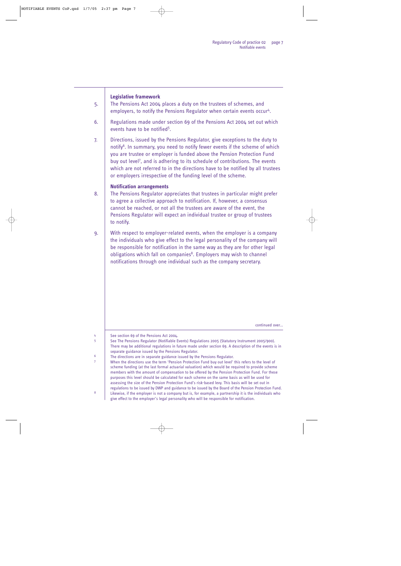#### <span id="page-6-5"></span><span id="page-6-3"></span><span id="page-6-0"></span>**Legislative framework**

- 5. The Pensions Act 2004 places a duty on the trustees of schemes, and employers, to notify the Pensions Regulator when certain events occur<sup>4</sup>.
- 6. Regulations made under section 69 of the Pensions Act 2004 set out which events have to be notified<sup>[5](#page-6-4)</sup>.
- <span id="page-6-7"></span>7. Directions, issued by the Pensions Regulator, give exceptions to the duty to notify<sup>[6](#page-6-6)</sup>. In summary, you need to notify fewer events if the scheme of which you are trustee or employer is funded above the Pension Protection Fund buy out level<sup>[7](#page-6-8)</sup>, and is adhering to its schedule of contributions. The events which are not referred to in the directions have to be notified by all trustees or employers irrespective of the funding level of the scheme.

#### <span id="page-6-9"></span><span id="page-6-1"></span>**Notification arrangements**

- 8. The Pensions Regulator appreciates that trustees in particular might prefer to agree a collective approach to notification. If, however, a consensus cannot be reached, or not all the trustees are aware of the event, the Pensions Regulator will expect an individual trustee or group of trustees to notify.
- 9. With respect to employer-related events, when the employer is a company the individuals who give effect to the legal personality of the company will be responsible for notification in the same way as they are for other legal obligations which fall on companies<sup>[8](#page-6-10)</sup>. Employers may wish to channel notifications through one individual such as the company secretary.

<span id="page-6-11"></span>continued over...

<span id="page-6-2"></span>[4](#page-6-3) See section 69 of the Pensions Act 2004.

<span id="page-6-4"></span>[5](#page-6-5) See The Pensions Regulator (Notifiable Events) Regulations 2005 (Statutory Instrument 2005/900). There may be additional regulations in future made under section 69. A description of the events is in separate guidance issued by the Pensions Regulator.

<span id="page-6-6"></span><sup>[6](#page-6-7)</sup> The directions are in separate guidance issued by the Pensions Regulator.

<span id="page-6-8"></span>[7](#page-6-9) When the directions use the term 'Pension Protection Fund buy out level' this refers to the level of scheme funding (at the last formal actuarial valuation) which would be required to provide scheme members with the amount of compensation to be offered by the Pension Protection Fund. For these purposes this level should be calculated for each scheme on the same basis as will be used for assessing the size of the Pension Protection Fund's risk-based levy. This basis will be set out in regulations to be issued by DWP and guidance to be issued by the Board of the Pension Protection Fund. [8](#page-6-11) Likewise, if the employer is not a company but is, for example, a partnership it is the individuals who give effect to the employer's legal personality who will be responsible for notification.

<span id="page-6-10"></span>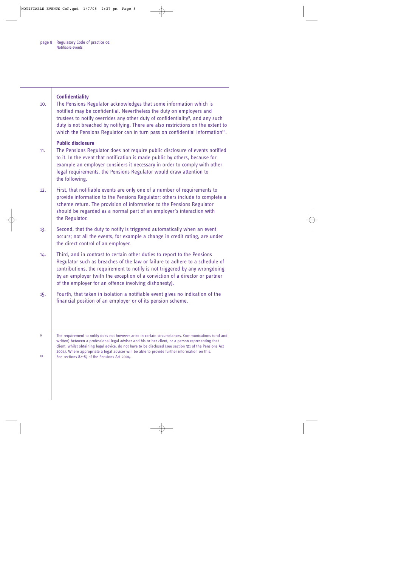<span id="page-7-5"></span><span id="page-7-4"></span><span id="page-7-3"></span><span id="page-7-2"></span><span id="page-7-1"></span><span id="page-7-0"></span>

| 10.     | <b>Confidentiality</b><br>The Pensions Regulator acknowledges that some information which is<br>notified may be confidential. Nevertheless the duty on employers and<br>trustees to notify overrides any other duty of confidentiality <sup>9</sup> , and any such<br>duty is not breached by notifying. There are also restrictions on the extent to<br>which the Pensions Regulator can in turn pass on confidential information <sup>10</sup> .                    |
|---------|-----------------------------------------------------------------------------------------------------------------------------------------------------------------------------------------------------------------------------------------------------------------------------------------------------------------------------------------------------------------------------------------------------------------------------------------------------------------------|
| 11.     | <b>Public disclosure</b><br>The Pensions Regulator does not require public disclosure of events notified<br>to it. In the event that notification is made public by others, because for<br>example an employer considers it necessary in order to comply with other<br>legal requirements, the Pensions Regulator would draw attention to<br>the following.                                                                                                           |
| 12.     | First, that notifiable events are only one of a number of requirements to<br>provide information to the Pensions Regulator; others include to complete a<br>scheme return. The provision of information to the Pensions Regulator<br>should be regarded as a normal part of an employer's interaction with<br>the Regulator.                                                                                                                                          |
| 13.     | Second, that the duty to notify is triggered automatically when an event<br>occurs; not all the events, for example a change in credit rating, are under<br>the direct control of an employer.                                                                                                                                                                                                                                                                        |
| 14.     | Third, and in contrast to certain other duties to report to the Pensions<br>Regulator such as breaches of the law or failure to adhere to a schedule of<br>contributions, the requirement to notify is not triggered by any wrongdoing<br>by an employer (with the exception of a conviction of a director or partner<br>of the employer for an offence involving dishonesty).                                                                                        |
| 15.     | Fourth, that taken in isolation a notifiable event gives no indication of the<br>financial position of an employer or of its pension scheme.                                                                                                                                                                                                                                                                                                                          |
| 9<br>10 | The requirement to notify does not however arise in certain circumstances. Communications (oral and<br>written) between a professional legal adviser and his or her client, or a person representing that<br>client, whilst obtaining legal advice, do not have to be disclosed (see section 311 of the Pensions Act<br>2004). Where appropriate a legal adviser will be able to provide further information on this.<br>See sections 82-87 of the Pensions Act 2004. |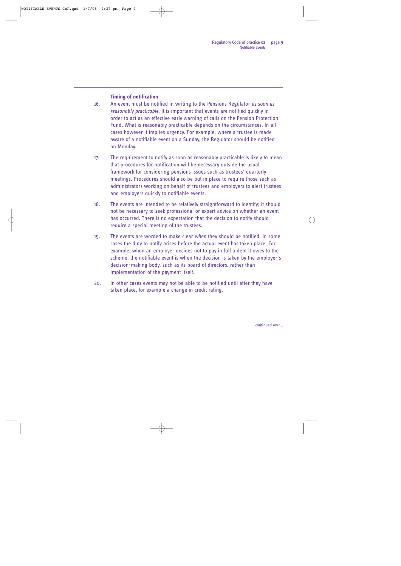#### <span id="page-8-0"></span>**Timing of notification**

16. An event must be notified in writing to the Pensions Regulator *as soon as reasonably practicable*. It is important that events are notified quickly in order to act as an effective early warning of calls on the Pension Protection Fund. What is reasonably practicable depends on the circumstances. In all cases however it implies urgency. For example, where a trustee is made aware of a notifiable event on a Sunday, the Regulator should be notified on Monday.

17. The requirement to notify as soon as reasonably practicable is likely to mean that procedures for notification will be necessary outside the usual framework for considering pensions issues such as trustees' quarterly meetings. Procedures should also be put in place to require those such as administrators working on behalf of trustees and employers to alert trustees and employers quickly to notifiable events.

- 18. The events are intended to be relatively straightforward to identify; it should not be necessary to seek professional or expert advice on whether an event has occurred. There is no expectation that the decision to notify should require a special meeting of the trustees.
- 19. The events are worded to make clear *when* they should be notified. In some cases the duty to notify arises before the actual event has taken place. For example, when an employer decides not to pay in full a debt it owes to the scheme, the notifiable event is when the decision is taken by the employer's decision-making body, such as its board of directors, rather than implementation of the payment itself.
- 20. In other cases events may not be able to be notified until after they have taken place, for example a change in credit rating.

continued over...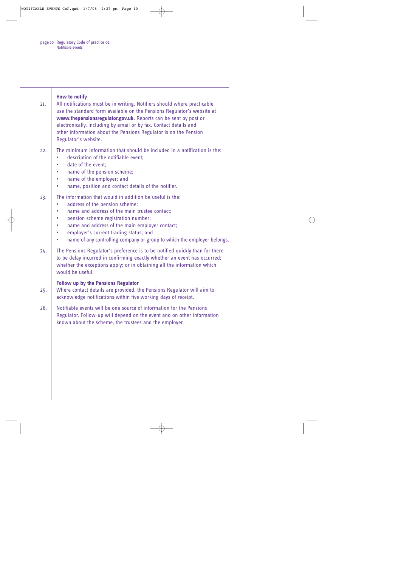<span id="page-9-1"></span><span id="page-9-0"></span>

| 21. | How to notify<br>All notifications must be in writing. Notifiers should where practicable<br>use the standard form available on the Pensions Regulator's website at<br>www.thepensionsregulator.gov.uk. Reports can be sent by post or<br>electronically, including by email or by fax. Contact details and<br>other information about the Pensions Regulator is on the Pension<br>Regulator's website. |
|-----|---------------------------------------------------------------------------------------------------------------------------------------------------------------------------------------------------------------------------------------------------------------------------------------------------------------------------------------------------------------------------------------------------------|
| 22. | The minimum information that should be included in a notification is the:<br>description of the notifiable event;<br>date of the event:<br>name of the pension scheme;<br>name of the employer; and<br>۰<br>name, position and contact details of the notifier.                                                                                                                                         |
| 23. | The information that would in addition be useful is the:<br>address of the pension scheme;<br>name and address of the main trustee contact;<br>$\bullet$<br>pension scheme registration number;<br>$\bullet$<br>name and address of the main employer contact;<br>employer's current trading status; and<br>$\bullet$<br>name of any controlling company or group to which the employer belongs.<br>٠   |
| 24. | The Pensions Regulator's preference is to be notified quickly than for there<br>to be delay incurred in confirming exactly whether an event has occurred;<br>whether the exceptions apply; or in obtaining all the information which<br>would be useful.                                                                                                                                                |
| 25. | <b>Follow up by the Pensions Regulator</b><br>Where contact details are provided, the Pensions Regulator will aim to<br>acknowledge notifications within five working days of receipt.                                                                                                                                                                                                                  |
| 26. | Notifiable events will be one source of information for the Pensions<br>Regulator. Follow-up will depend on the event and on other information<br>known about the scheme, the trustees and the employer.                                                                                                                                                                                                |
|     |                                                                                                                                                                                                                                                                                                                                                                                                         |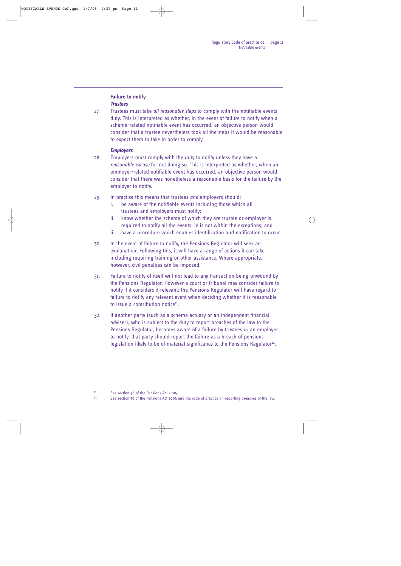#### <span id="page-10-1"></span><span id="page-10-0"></span>**Failure to notify**  *Trustees*

27. Trustees must take *all reasonable steps* to comply with the notifiable events duty. This is interpreted as whether, in the event of failure to notify when a scheme-related notifiable event has occurred, an objective person would consider that a trustee nevertheless took all the steps it would be reasonable to expect them to take in order to comply.

#### <span id="page-10-2"></span>*Employers*

28. Employers must comply with the duty to notify unless they have a *reasonable excuse* for not doing so. This is interpreted as whether, when an employer-related notifiable event has occurred, an objective person would consider that there was nonetheless a reasonable basis for the failure by the employer to notify.

#### 29. In practice this means that trustees *and* employers should:

- i. be aware of the notifiable events including those which all trustees and employers must notify;
- ii. know whether the scheme of which they are trustee or employer is required to notify all the events, ie is not within the exceptions; and
- iii. have a procedure which enables identification and notification to occur.
- 30. In the event of failure to notify, the Pensions Regulator will seek an explanation. Following this, it will have a range of actions it can take including requiring training or other assistance. Where appropriate, however, civil penalties can be imposed.
- 31. Failure to notify of itself will not lead to any transaction being unwound by the Pensions Regulator. However a court or tribunal may consider failure to notify if it considers it relevant; the Pensions Regulator will have regard to failure to notify any relevant event when deciding whether it is reasonable to issue a contribution notice $11$ .
- <span id="page-10-6"></span><span id="page-10-4"></span>32. If another party (such as a scheme actuary or an independent financial adviser), who is subject to the duty to report breaches of the law to the Pensions Regulator, becomes aware of a failure by trustees or an employer to notify, that party should report the failure as a breach of pensions legislation likely to be of material significance to the Pensions Regulator<sup>12</sup>.

<span id="page-10-5"></span><span id="page-10-3"></span><sup>&</sup>lt;sup>[11](#page-10-4)</sup> See section 38 of the Pensions Act 2004.<br>
See section 70 of the Pensions Act 2004.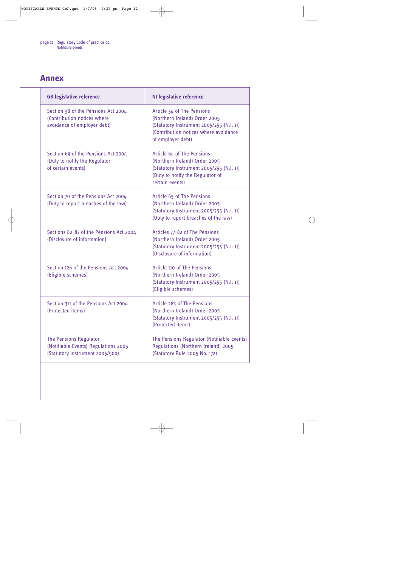## <span id="page-11-0"></span>**Annex**

| <b>GB legislative reference</b>                                                                          | <b>NI legislative reference</b>                                                                                                                                       |
|----------------------------------------------------------------------------------------------------------|-----------------------------------------------------------------------------------------------------------------------------------------------------------------------|
| Section 38 of the Pensions Act 2004<br>(Contribution notices where<br>avoidance of employer debt)        | Article 34 of The Pensions<br>(Northern Ireland) Order 2005<br>(Statutory Instrument 2005/255 (N.I. 1))<br>(Contribution notices where avoidance<br>of employer debt) |
| Section 69 of the Pensions Act 2004<br>(Duty to notify the Regulator<br>of certain events)               | Article 64 of The Pensions<br>(Northern Ireland) Order 2005<br>(Statutory Instrument 2005/255 (N.I. 1))<br>(Duty to notify the Regulator of<br>certain events)        |
| Section 70 of the Pensions Act 2004<br>(Duty to report breaches of the law)                              | Article 65 of The Pensions<br>(Northern Ireland) Order 2005<br>(Statutory Instrument 2005/255 (N.l. 1))<br>(Duty to report breaches of the law)                       |
| Sections 82-87 of the Pensions Act 2004<br>(Disclosure of information)                                   | Articles 77-82 of The Pensions<br>(Northern Ireland) Order 2005<br>(Statutory Instrument 2005/255 (N.I. 1))<br>(Disclosure of information)                            |
| Section 126 of the Pensions Act 2004<br>(Eligible schemes)                                               | Article 110 of The Pensions<br>(Northern Ireland) Order 2005<br>(Statutory Instrument 2005/255 (N.I. 1))<br>(Eligible schemes)                                        |
| Section 311 of the Pensions Act 2004<br>(Protected items)                                                | Article 283 of The Pensions<br>(Northern Ireland) Order 2005<br>(Statutory Instrument 2005/255 (N.l. 1))<br>(Protected items)                                         |
| <b>The Pensions Regulator</b><br>(Notifiable Events) Regulations 2005<br>(Statutory Instrument 2005/900) | The Pensions Regulator (Notifiable Events)<br>Regulations (Northern Ireland) 2005<br>(Statutory Rule 2005 No. 172)                                                    |